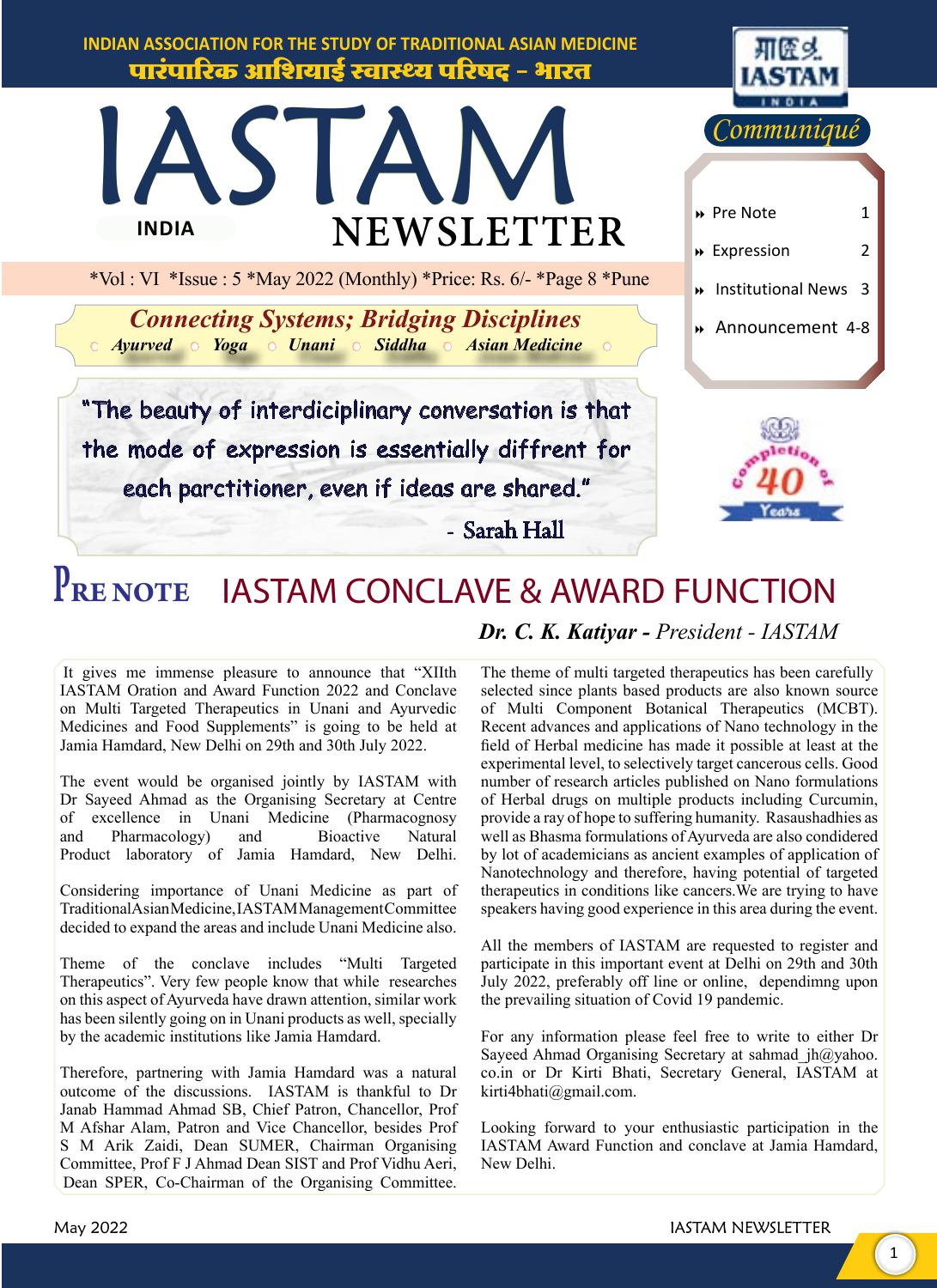

#### *Dr. C. K. Katiyar - President - IASTAM* **PRE NOTE** IASTAM CONCLAVE & AWARD FUNCTION

It gives me immense pleasure to announce that "XIIth IASTAM Oration and Award Function 2022 and Conclave on Multi Targeted Therapeutics in Unani and Ayurvedic Medicines and Food Supplements" is going to be held at Jamia Hamdard, New Delhi on 29th and 30th July 2022.

The event would be organised jointly by IASTAM with Dr Sayeed Ahmad as the Organising Secretary at Centre of excellence in Unani Medicine (Pharmacognosy and Pharmacology) and Bioactive Natural Product laboratory of Jamia Hamdard, New Delhi.

Considering importance of Unani Medicine as part of Traditional Asian Medicine, IASTAM Management Committee decided to expand the areas and include Unani Medicine also.

Theme of the conclave includes "Multi Targeted Therapeutics". Very few people know that while researches on this aspect of Ayurveda have drawn attention, similar work has been silently going on in Unani products as well, specially by the academic institutions like Jamia Hamdard.

Therefore, partnering with Jamia Hamdard was a natural outcome of the discussions. IASTAM is thankful to Dr Janab Hammad Ahmad SB, Chief Patron, Chancellor, Prof M Afshar Alam, Patron and Vice Chancellor, besides Prof S M Arik Zaidi, Dean SUMER, Chairman Organising Committee, Prof F J Ahmad Dean SIST and Prof Vidhu Aeri, Dean SPER, Co-Chairman of the Organising Committee.

The theme of multi targeted therapeutics has been carefully selected since plants based products are also known source of Multi Component Botanical Therapeutics (MCBT). Recent advances and applications of Nano technology in the field of Herbal medicine has made it possible at least at the experimental level, to selectively target cancerous cells. Good number of research articles published on Nano formulations of Herbal drugs on multiple products including Curcumin, provide a ray of hope to suffering humanity. Rasaushadhies as well as Bhasma formulations of Ayurveda are also condidered by lot of academicians as ancient examples of application of Nanotechnology and therefore, having potential of targeted therapeutics in conditions like cancers.We are trying to have speakers having good experience in this area during the event.

All the members of IASTAM are requested to register and participate in this important event at Delhi on 29th and 30th July 2022, preferably off line or online, dependimng upon the prevailing situation of Covid 19 pandemic.

For any information please feel free to write to either Dr Sayeed Ahmad Organising Secretary at sahmad jh@yahoo. co.in or Dr Kirti Bhati, Secretary General, IASTAM at kirti4bhati@gmail.com.

Looking forward to your enthusiastic participation in the IASTAM Award Function and conclave at Jamia Hamdard, New Delhi.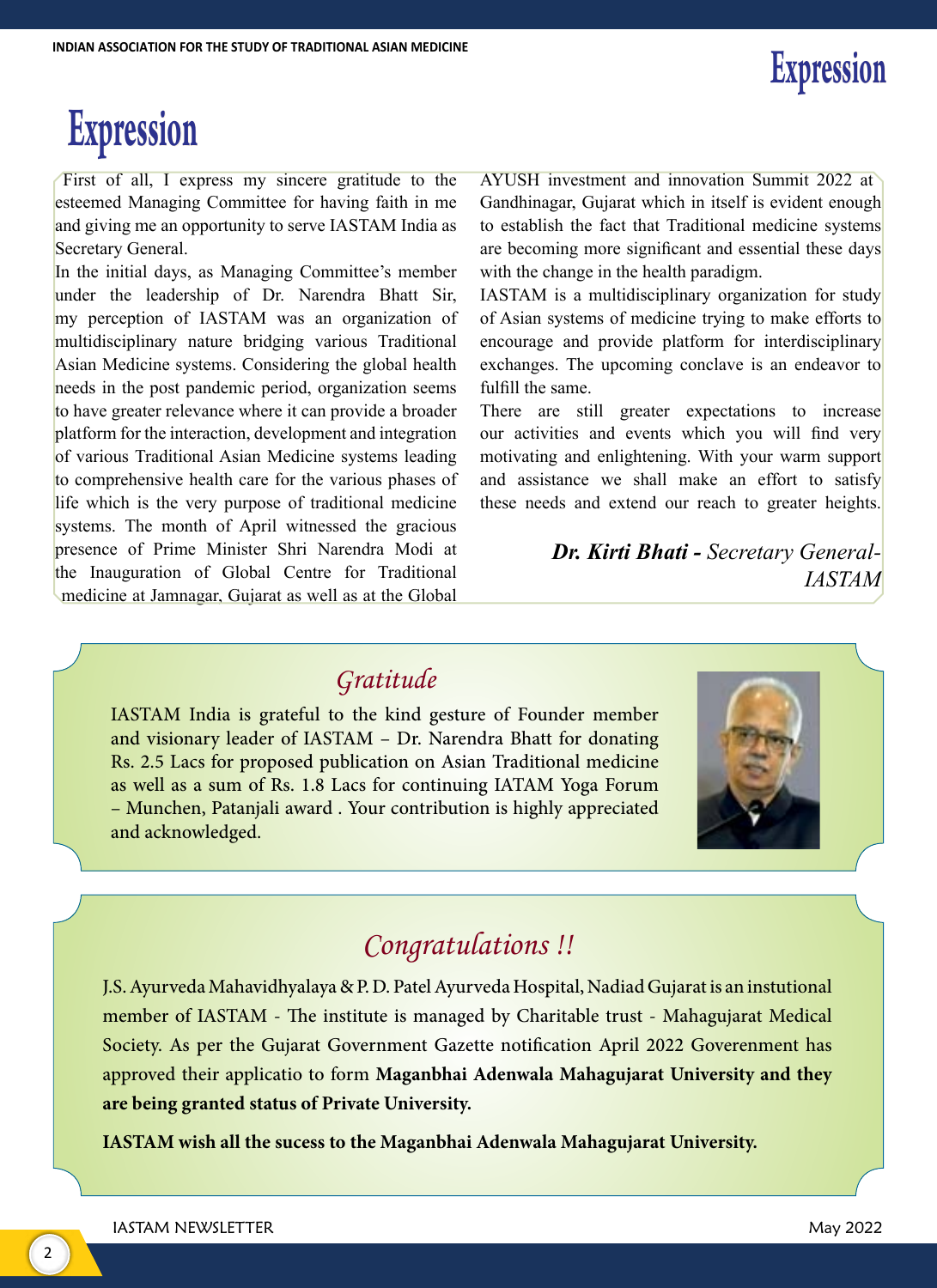# **Expression**

First of all, I express my sincere gratitude to the esteemed Managing Committee for having faith in me and giving me an opportunity to serve IASTAM India as Secretary General.

In the initial days, as Managing Committee's member under the leadership of Dr. Narendra Bhatt Sir, my perception of IASTAM was an organization of multidisciplinary nature bridging various Traditional Asian Medicine systems. Considering the global health needs in the post pandemic period, organization seems to have greater relevance where it can provide a broader platform for the interaction, development and integration of various Traditional Asian Medicine systems leading to comprehensive health care for the various phases of life which is the very purpose of traditional medicine systems. The month of April witnessed the gracious presence of Prime Minister Shri Narendra Modi at the Inauguration of Global Centre for Traditional medicine at Jamnagar, Gujarat as well as at the Global AYUSH investment and innovation Summit 2022 at Gandhinagar, Gujarat which in itself is evident enough to establish the fact that Traditional medicine systems are becoming more significant and essential these days with the change in the health paradigm.

IASTAM is a multidisciplinary organization for study of Asian systems of medicine trying to make efforts to encourage and provide platform for interdisciplinary exchanges. The upcoming conclave is an endeavor to fulfill the same.

There are still greater expectations to increase our activities and events which you will find very motivating and enlightening. With your warm support and assistance we shall make an effort to satisfy these needs and extend our reach to greater heights.

> *Dr. Kirti Bhati - Secretary General-IASTAM*

### *Gratitude*

IASTAM India is grateful to the kind gesture of Founder member and visionary leader of IASTAM – Dr. Narendra Bhatt for donating Rs. 2.5 Lacs for proposed publication on Asian Traditional medicine as well as a sum of Rs. 1.8 Lacs for continuing IATAM Yoga Forum – Munchen, Patanjali award . Your contribution is highly appreciated and acknowledged.



## *Congratulations !!*

J.S. Ayurveda Mahavidhyalaya & P. D. Patel Ayurveda Hospital, Nadiad Gujarat is an instutional member of IASTAM - The institute is managed by Charitable trust - Mahagujarat Medical Society. As per the Gujarat Government Gazette notification April 2022 Goverenment has approved their applicatio to form **Maganbhai Adenwala Mahagujarat University and they are being granted status of Private University.**

**IASTAM wish all the sucess to the Maganbhai Adenwala Mahagujarat University.**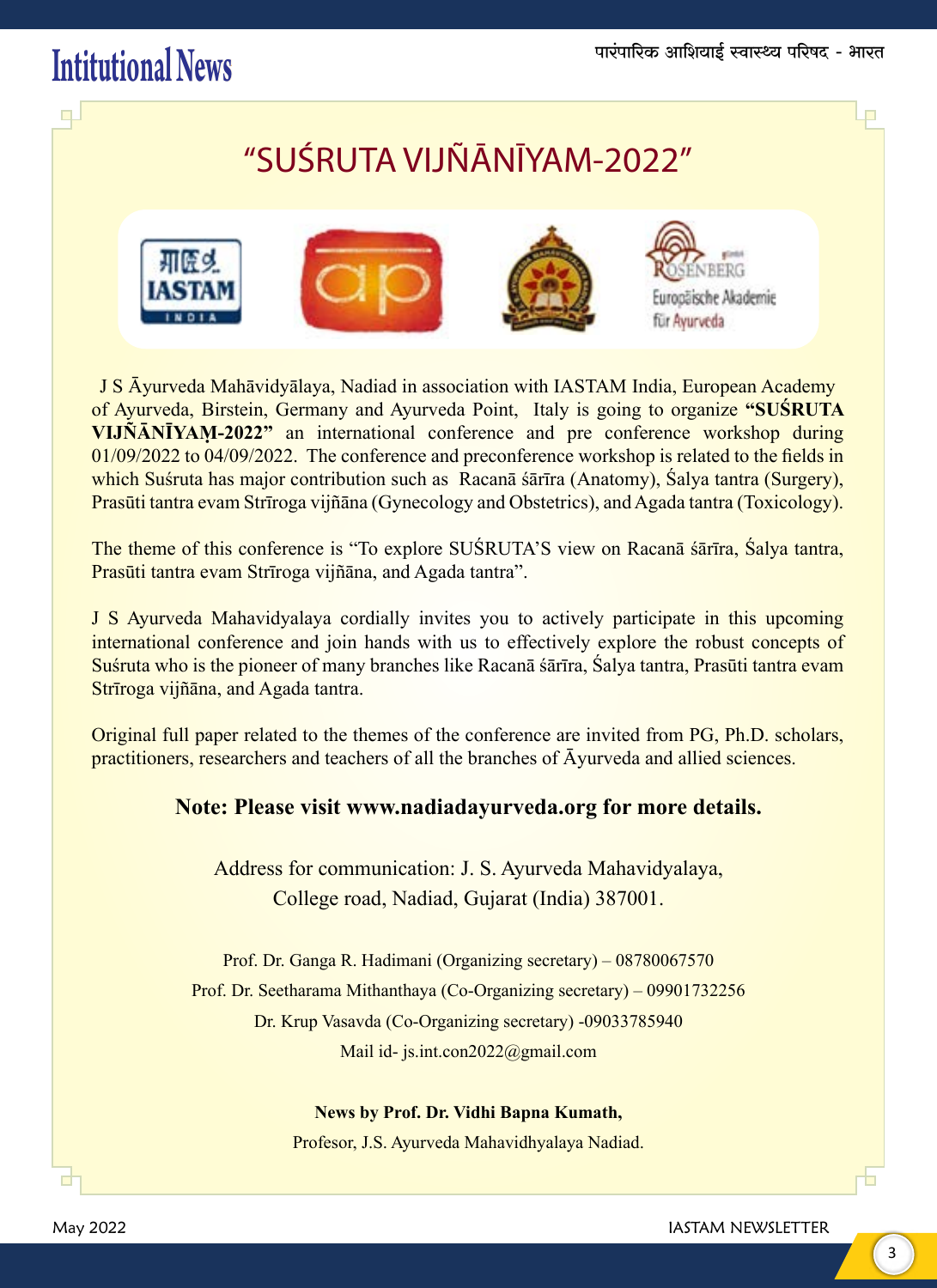## $\text{Initialional News}$  and  $\text{I.}$  and  $\text{I.}$  and  $\text{I.}$  and  $\text{I.}$  and  $\text{I.}$  and  $\text{I.}$  and  $\text{I.}$  and  $\text{I.}$  and  $\text{I.}$  and  $\text{I.}$  and  $\text{I.}$  and  $\text{I.}$  and  $\text{I.}$  and  $\text{I.}$  and  $\text{I.}$  and  $\text{I.}$  and

 $\Box$ 

## "SUŚRUTA VIJÑĀNĪYAM-2022"



J S Āyurveda Mahāvidyālaya, Nadiad in association with IASTAM India, European Academy of Ayurveda, Birstein, Germany and Ayurveda Point, Italy is going to organize **"SUŚRUTA VIJÑĀNĪYAṂ-2022"** an international conference and pre conference workshop during 01/09/2022 to 04/09/2022. The conference and preconference workshop is related to the fields in which Suśruta has major contribution such as Racanā śārīra (Anatomy), Śalya tantra (Surgery), Prasūti tantra evam Strīroga vijñāna (Gynecology and Obstetrics), and Agada tantra (Toxicology).

The theme of this conference is "To explore SUŚRUTA'S view on Racanā śārīra, Śalya tantra, Prasūti tantra evam Strīroga vijñāna, and Agada tantra".

J S Ayurveda Mahavidyalaya cordially invites you to actively participate in this upcoming international conference and join hands with us to effectively explore the robust concepts of Suśruta who is the pioneer of many branches like Racanā śārīra, Śalya tantra, Prasūti tantra evam Strīroga vijñāna, and Agada tantra.

Original full paper related to the themes of the conference are invited from PG, Ph.D. scholars, practitioners, researchers and teachers of all the branches of Āyurveda and allied sciences.

#### **Note: Please visit www.nadiadayurveda.org for more details.**

Address for communication: J. S. Ayurveda Mahavidyalaya, College road, Nadiad, Gujarat (India) 387001.

Prof. Dr. Ganga R. Hadimani (Organizing secretary) – 08780067570 Prof. Dr. Seetharama Mithanthaya (Co-Organizing secretary) – 09901732256 Dr. Krup Vasavda (Co-Organizing secretary) -09033785940 Mail id- js.int.con2022@gmail.com

**News by Prof. Dr. Vidhi Bapna Kumath,**

Profesor, J.S. Ayurveda Mahavidhyalaya Nadiad.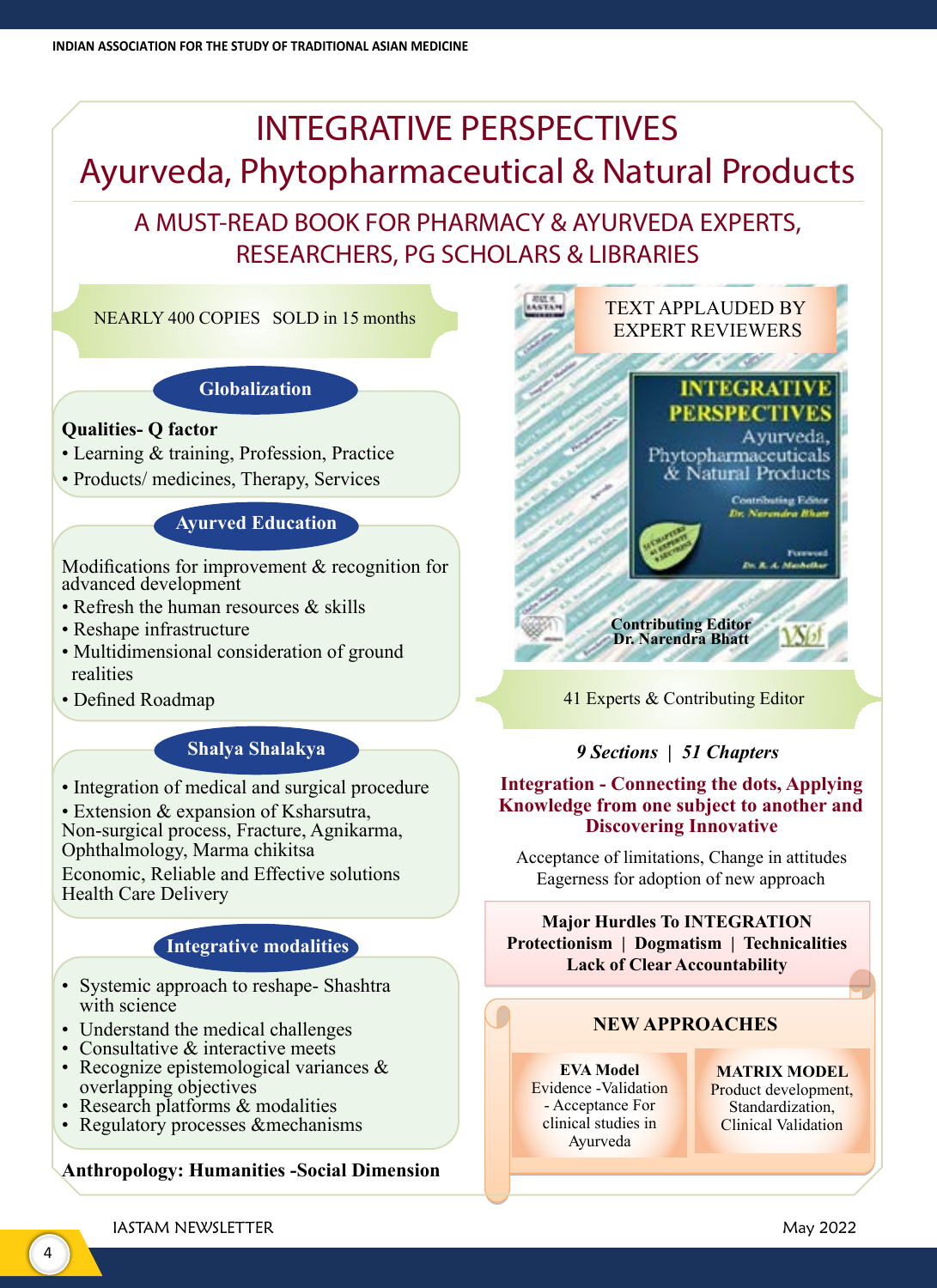## INTEGRATIVE PERSPECTIVES Ayurveda, Phytopharmaceutical & Natural Products

### A MUST-READ BOOK FOR PHARMACY & AYURVEDA EXPERTS, RESEARCHERS, PG SCHOLARS & LIBRARIES

NEARLY 400 COPIES SOLD in 15 months

#### **Globalization**

#### **Qualities- Q factor**

- Learning & training, Profession, Practice
- Products/ medicines, Therapy, Services

#### **Ayurved Education**

Modifications for improvement & recognition for advanced development

- Refresh the human resources & skills
- Reshape infrastructure
- Multidimensional consideration of ground realities
- Defined Roadmap

#### **Shalya Shalakya**

• Integration of medical and surgical procedure

• Extension & expansion of Ksharsutra,

Non-surgical process, Fracture, Agnikarma, Ophthalmology, Marma chikitsa

Economic, Reliable and Effective solutions Health Care Delivery

#### **Integrative modalities**

- Systemic approach to reshape- Shashtra with science
- Understand the medical challenges
- Consultative & interactive meets
- Recognize epistemological variances & overlapping objectives
- Research platforms & modalities
- Regulatory processes &mechanisms

#### **Anthropology: Humanities -Social Dimension**



41 Experts & Contributing Editor

#### *9 Sections | 51 Chapters*

#### **Integration - Connecting the dots, Applying Knowledge from one subject to another and Discovering Innovative**

Acceptance of limitations, Change in attitudes Eagerness for adoption of new approach

#### **Major Hurdles To INTEGRATION Protectionism | Dogmatism | Technicalities Lack of Clear Accountability**

#### **NEW APPROACHES**

**EVA Model** Evidence -Validation - Acceptance For clinical studies in Ayurveda

**MATRIX MODEL**  Product development, Standardization, Clinical Validation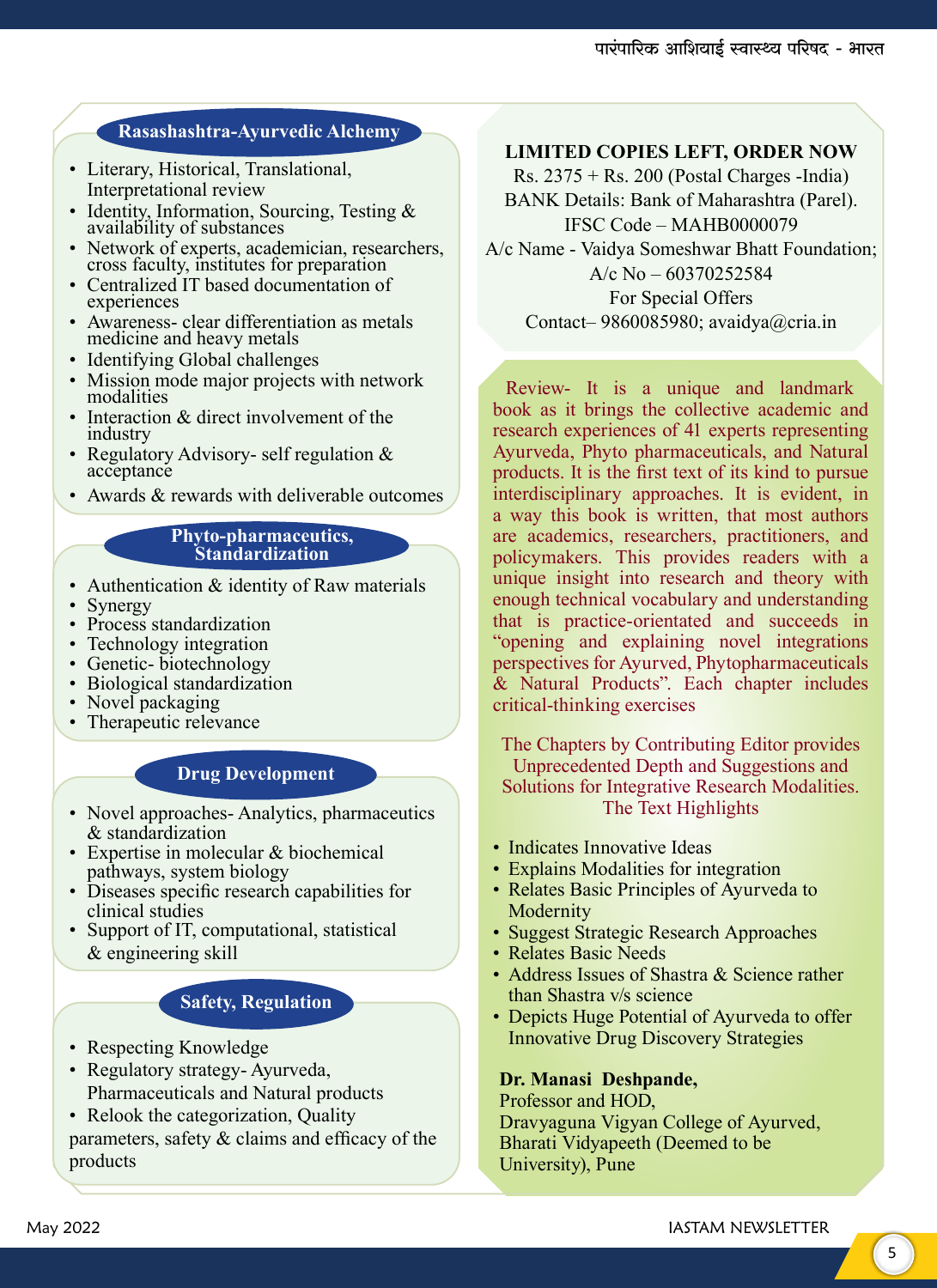### **Rasashashtra-Ayurvedic Alchemy**

- Literary, Historical, Translational, Interpretational review
- Identity, Information, Sourcing, Testing & availability of substances
- Network of experts, academician, researchers, cross faculty, institutes for preparation
- Centralized IT based documentation of experiences
- Awareness- clear differentiation as metals medicine and heavy metals
- Identifying Global challenges
- Mission mode major projects with network modalities
- Interaction & direct involvement of the industry
- Regulatory Advisory- self regulation & acceptance
- Awards & rewards with deliverable outcomes

#### **Phyto-pharmaceutics, Standardization**

- Authentication & identity of Raw materials
- Synergy
- Process standardization
- Technology integration
- Genetic- biotechnology
- Biological standardization
- Novel packaging
- Therapeutic relevance

#### **Drug Development**

- Novel approaches- Analytics, pharmaceutics & standardization
- Expertise in molecular & biochemical pathways, system biology
- Diseases specific research capabilities for clinical studies
- Support of IT, computational, statistical & engineering skill

#### **Safety, Regulation**

- Respecting Knowledge
- Regulatory strategy- Ayurveda, Pharmaceuticals and Natural products
- Relook the categorization, Quality parameters, safety  $\&$  claims and efficacy of the products

#### **LIMITED COPIES LEFT, ORDER NOW**

Rs.  $2375 +$ Rs. 200 (Postal Charges -India) BANK Details: Bank of Maharashtra (Parel). IFSC Code – MAHB0000079 A/c Name - Vaidya Someshwar Bhatt Foundation; A/c No – 60370252584 For Special Offers Contact– 9860085980; avaidya@cria.in

Review- It is a unique and landmark book as it brings the collective academic and research experiences of 41 experts representing Ayurveda, Phyto pharmaceuticals, and Natural products. It is the first text of its kind to pursue interdisciplinary approaches. It is evident, in a way this book is written, that most authors are academics, researchers, practitioners, and policymakers. This provides readers with a unique insight into research and theory with enough technical vocabulary and understanding that is practice-orientated and succeeds in "opening and explaining novel integrations perspectives for Ayurved, Phytopharmaceuticals & Natural Products". Each chapter includes critical-thinking exercises

The Chapters by Contributing Editor provides Unprecedented Depth and Suggestions and Solutions for Integrative Research Modalities. The Text Highlights

- Indicates Innovative Ideas
- Explains Modalities for integration
- Relates Basic Principles of Ayurveda to Modernity
- Suggest Strategic Research Approaches
- Relates Basic Needs
- Address Issues of Shastra & Science rather than Shastra v/s science
- Depicts Huge Potential of Ayurveda to offer Innovative Drug Discovery Strategies

#### **Dr. Manasi Deshpande,**

Professor and HOD, Dravyaguna Vigyan College of Ayurved, Bharati Vidyapeeth (Deemed to be University), Pune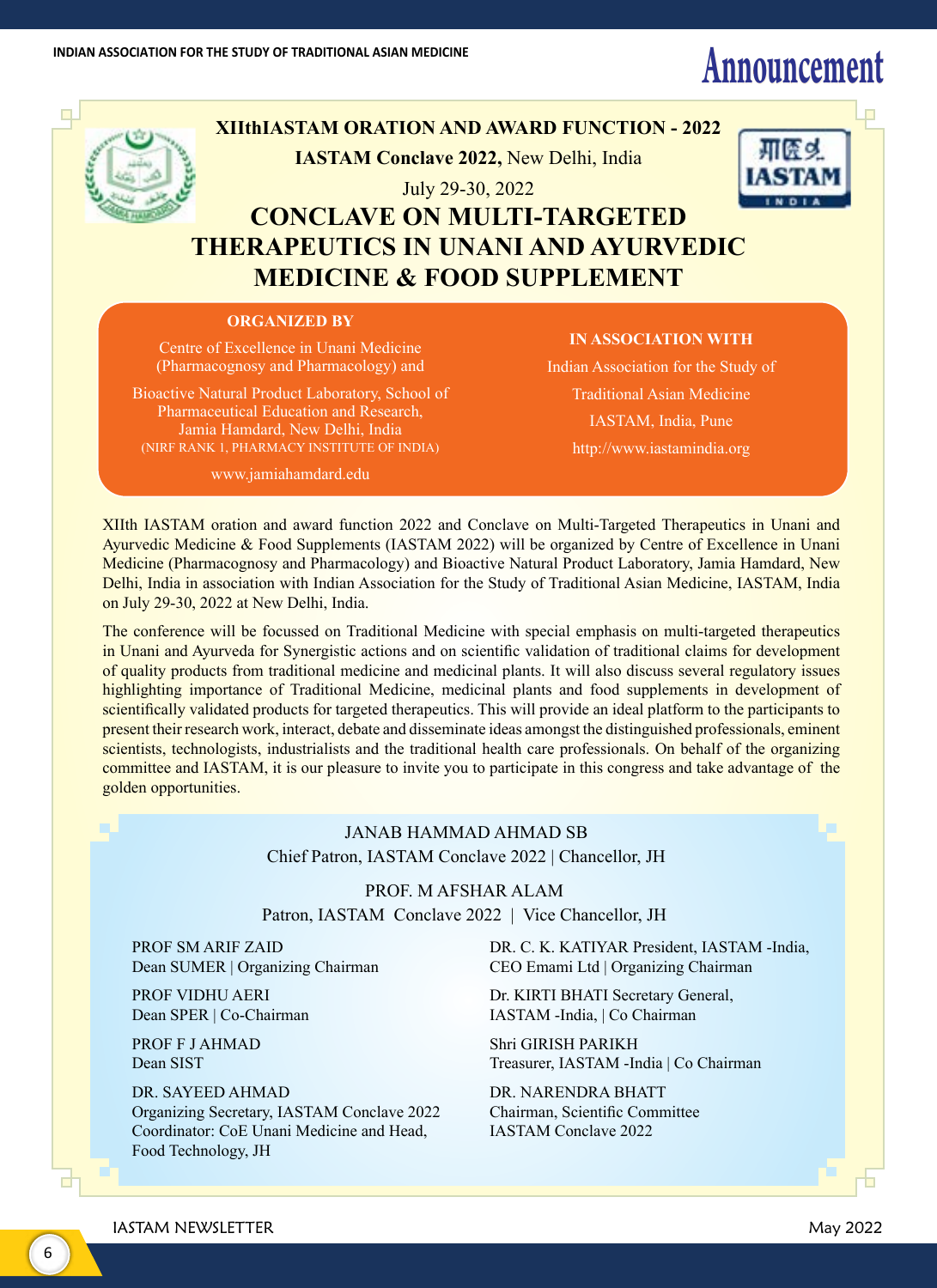## INDIAN ASSOCIATION FOR THE STUDY OF TRADITIONAL ASIAN MEDICINE<br>**Announcement and a struck of the study of traditional asian medicine**



### **XIIthIASTAM ORATION AND AWARD FUNCTION - 2022 IASTAM Conclave 2022,** New Delhi, India

July 29-30, 2022



### **CONCLAVE ON MULTI-TARGETED THERAPEUTICS IN UNANI AND AYURVEDIC MEDICINE & FOOD SUPPLEMENT**

#### **ORGANIZED BY**

Centre of Excellence in Unani Medicine (Pharmacognosy and Pharmacology) and

Bioactive Natural Product Laboratory, School of Pharmaceutical Education and Research, Jamia Hamdard, New Delhi, India (NIRF RANK 1, PHARMACY INSTITUTE OF INDIA)

www.jamiahamdard.edu

#### **IN ASSOCIATION WITH**

Indian Association for the Study of Traditional Asian Medicine IASTAM, India, Pune http://www.iastamindia.org

XIIth IASTAM oration and award function 2022 and Conclave on Multi-Targeted Therapeutics in Unani and Ayurvedic Medicine & Food Supplements (IASTAM 2022) will be organized by Centre of Excellence in Unani Medicine (Pharmacognosy and Pharmacology) and Bioactive Natural Product Laboratory, Jamia Hamdard, New Delhi, India in association with Indian Association for the Study of Traditional Asian Medicine, IASTAM, India on July 29-30, 2022 at New Delhi, India.

The conference will be focussed on Traditional Medicine with special emphasis on multi-targeted therapeutics in Unani and Ayurveda for Synergistic actions and on scientific validation of traditional claims for development of quality products from traditional medicine and medicinal plants. It will also discuss several regulatory issues highlighting importance of Traditional Medicine, medicinal plants and food supplements in development of scientifically validated products for targeted therapeutics. This will provide an ideal platform to the participants to present their research work, interact, debate and disseminate ideas amongst the distinguished professionals, eminent scientists, technologists, industrialists and the traditional health care professionals. On behalf of the organizing committee and IASTAM, it is our pleasure to invite you to participate in this congress and take advantage of the golden opportunities.

#### JANAB HAMMAD AHMAD SB Chief Patron, IASTAM Conclave 2022 | Chancellor, JH

PROF. M AFSHAR ALAM Patron, IASTAM Conclave 2022 | Vice Chancellor, JH

PROF SM ARIF ZAID Dean SUMER | Organizing Chairman

PROF VIDHU AERI Dean SPER | Co-Chairman

PROF F J AHMAD Dean SIST

DR. SAYEED AHMAD Organizing Secretary, IASTAM Conclave 2022 Coordinator: CoE Unani Medicine and Head, Food Technology, JH

DR. C. K. KATIYAR President, IASTAM -India, CEO Emami Ltd | Organizing Chairman

Dr. KIRTI BHATI Secretary General, IASTAM -India, | Co Chairman

Shri GIRISH PARIKH Treasurer, IASTAM -India | Co Chairman

DR. NARENDRA BHATT Chairman, Scientific Committee IASTAM Conclave 2022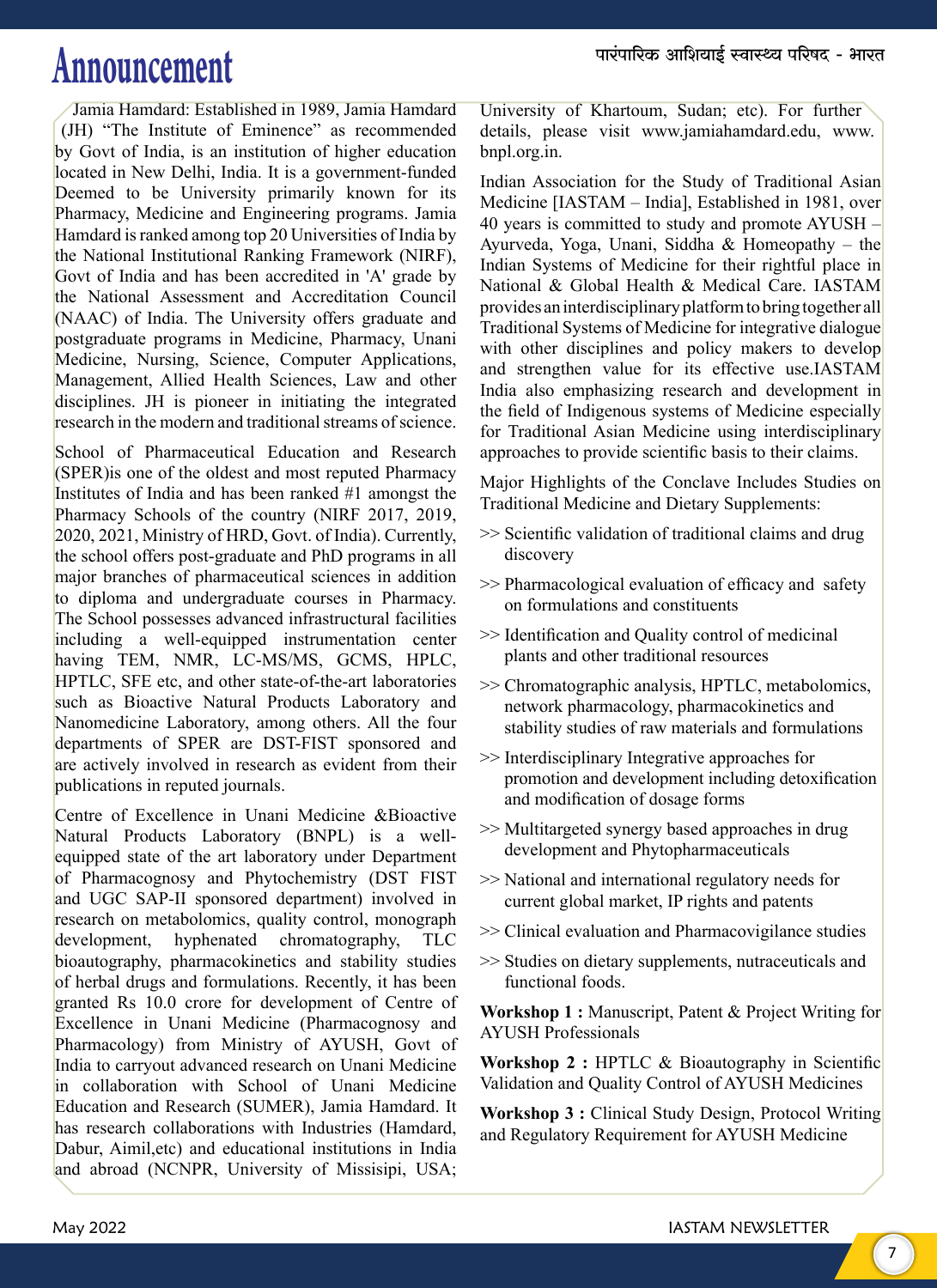## $\mathbf{Announcement} \hspace{1cm}$  and  $\mathbf{univ}$  and  $\mathbf{univ}$  and  $\mathbf{univ}$  and  $\mathbf{univ}$  and  $\mathbf{univ}$  and  $\mathbf{univ}$  and  $\mathbf{univ}$  and  $\mathbf{univ}$  and  $\mathbf{univ}$  and  $\mathbf{univ}$  and  $\mathbf{univ}$  and  $\mathbf{univ}$  and  $\mathbf{univ}$  and  $\mathbf{univ}$  and

Jamia Hamdard: Established in 1989, Jamia Hamdard (JH) "The Institute of Eminence" as recommended by Govt of India, is an institution of higher education located in New Delhi, India. It is a government-funded Deemed to be University primarily known for its Pharmacy, Medicine and Engineering programs. Jamia Hamdard is ranked among top 20 Universities of India by the National Institutional Ranking Framework (NIRF), Govt of India and has been accredited in 'A' grade by the National Assessment and Accreditation Council (NAAC) of India. The University offers graduate and postgraduate programs in Medicine, Pharmacy, Unani Medicine, Nursing, Science, Computer Applications, Management, Allied Health Sciences, Law and other disciplines. JH is pioneer in initiating the integrated research in the modern and traditional streams of science.

School of Pharmaceutical Education and Research (SPER)is one of the oldest and most reputed Pharmacy Institutes of India and has been ranked #1 amongst the Pharmacy Schools of the country (NIRF 2017, 2019, 2020, 2021, Ministry of HRD, Govt. of India). Currently, the school offers post-graduate and PhD programs in all major branches of pharmaceutical sciences in addition to diploma and undergraduate courses in Pharmacy. The School possesses advanced infrastructural facilities including a well-equipped instrumentation center having TEM, NMR, LC-MS/MS, GCMS, HPLC, HPTLC, SFE etc, and other state-of-the-art laboratories such as Bioactive Natural Products Laboratory and Nanomedicine Laboratory, among others. All the four departments of SPER are DST-FIST sponsored and are actively involved in research as evident from their publications in reputed journals.

Centre of Excellence in Unani Medicine &Bioactive Natural Products Laboratory (BNPL) is a wellequipped state of the art laboratory under Department of Pharmacognosy and Phytochemistry (DST FIST and UGC SAP-II sponsored department) involved in research on metabolomics, quality control, monograph development, hyphenated chromatography, TLC bioautography, pharmacokinetics and stability studies of herbal drugs and formulations. Recently, it has been granted Rs 10.0 crore for development of Centre of Excellence in Unani Medicine (Pharmacognosy and Pharmacology) from Ministry of AYUSH, Govt of India to carryout advanced research on Unani Medicine in collaboration with School of Unani Medicine Education and Research (SUMER), Jamia Hamdard. It has research collaborations with Industries (Hamdard, Dabur, Aimil,etc) and educational institutions in India and abroad (NCNPR, University of Missisipi, USA;

University of Khartoum, Sudan; etc). For further details, please visit www.jamiahamdard.edu, www. bnpl.org.in.

Indian Association for the Study of Traditional Asian Medicine [IASTAM – India], Established in 1981, over 40 years is committed to study and promote AYUSH – Ayurveda, Yoga, Unani, Siddha & Homeopathy – the Indian Systems of Medicine for their rightful place in National & Global Health & Medical Care. IASTAM provides an interdisciplinary platform to bring together all Traditional Systems of Medicine for integrative dialogue with other disciplines and policy makers to develop and strengthen value for its effective use.IASTAM India also emphasizing research and development in the field of Indigenous systems of Medicine especially for Traditional Asian Medicine using interdisciplinary approaches to provide scientific basis to their claims.

Major Highlights of the Conclave Includes Studies on Traditional Medicine and Dietary Supplements:

- >> Scientific validation of traditional claims and drug discovery
- >> Pharmacological evaluation of efficacy and safety on formulations and constituents
- >> Identification and Quality control of medicinal plants and other traditional resources
- >> Chromatographic analysis, HPTLC, metabolomics, network pharmacology, pharmacokinetics and stability studies of raw materials and formulations
- >> Interdisciplinary Integrative approaches for promotion and development including detoxification and modification of dosage forms
- >> Multitargeted synergy based approaches in drug development and Phytopharmaceuticals
- >> National and international regulatory needs for current global market, IP rights and patents
- >> Clinical evaluation and Pharmacovigilance studies
- >> Studies on dietary supplements, nutraceuticals and functional foods.

**Workshop 1 :** Manuscript, Patent & Project Writing for AYUSH Professionals

**Workshop 2 :** HPTLC & Bioautography in Scientific Validation and Quality Control of AYUSH Medicines

**Workshop 3 :** Clinical Study Design, Protocol Writing and Regulatory Requirement for AYUSH Medicine